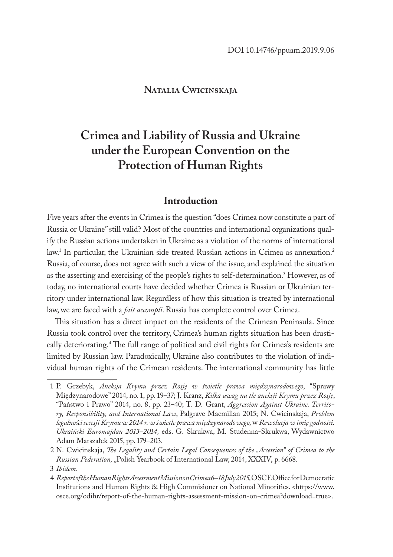### **Natalia Cwicinskaja**

# **Crimea and Liability of Russia and Ukraine under the European Convention on the Protection of Human Rights**

### **Introduction**

Five years after the events in Crimea is the question "does Crimea now constitute a part of Russia or Ukraine" still valid? Most of the countries and international organizations qualify the Russian actions undertaken in Ukraine as a violation of the norms of international law.<sup>1</sup> In particular, the Ukrainian side treated Russian actions in Crimea as annexation.<sup>2</sup> Russia, of course, does not agree with such a view of the issue, and explained the situation as the asserting and exercising of the people's rights to self-determination.3 However, as of today, no international courts have decided whether Crimea is Russian or Ukrainian territory under international law. Regardless of how this situation is treated by international law, we are faced with a *fait accompli*. Russia has complete control over Crimea.

This situation has a direct impact on the residents of the Crimean Peninsula. Since Russia took control over the territory, Crimea's human rights situation has been drastically deteriorating.4 The full range of political and civil rights for Crimea's residents are limited by Russian law. Paradoxically, Ukraine also contributes to the violation of individual human rights of the Crimean residents. The international community has little

<sup>1</sup> P. Grzebyk, *Aneksja Krymu przez Rosję w świetle prawa międzynarodowego*, "Sprawy Międzynarodowe" 2014, no. 1, pp. 19–37; J. Kranz, *Kilka uwag na tle aneksji Krymu przez Rosję*, "Państwo i Prawo" 2014, no. 8, pp. 23–40; T. D. Grant, *Aggression Against Ukraine. Territory, Responsibility, and International Law*, Palgrave Macmillan 2015; N. Cwicinskaja, *Problem legalności secesji Krymu w 2014 r. w świetle prawa międzynarodowego,* w *Rewolucja w imię godności. Ukraiński Euromajdan 2013–2014,* eds. G. Skrukwa, M. Studenna-Skrukwa, Wydawnictwo Adam Marszałek 2015, pp. 179–203.

<sup>2</sup> N. Cwicinskaja, *The Legality and Certain Legal Consequences of the "Accession" of Crimea to the Russian Federation, "Polish Yearbook of International Law, 2014, XXXIV, p. 6668.* 

<sup>3</sup> *Ibidem*.

<sup>4</sup> *Report of the Human Rights Assessment Mission on Crimea 6–18 July 2015,* OSCE Office for Democratic Institutions and Human Rights & High Commisioner on National Minorities. <https://www. osce.org/odihr/report-of-the-human-rights-assessment-mission-on-crimea?download=true>.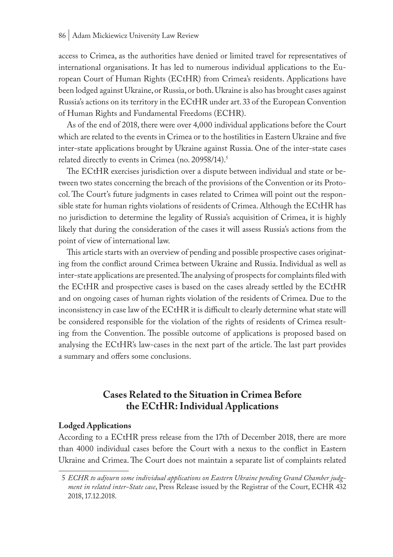access to Crimea, as the authorities have denied or limited travel for representatives of international organisations. It has led to numerous individual applications to the European Court of Human Rights (ECtHR) from Crimea's residents. Applications have been lodged against Ukraine, or Russia, or both. Ukraine is also has brought cases against Russia's actions on its territory in the ECtHR under art. 33 of the European Convention of Human Rights and Fundamental Freedoms (ECHR).

As of the end of 2018, there were over 4,000 individual applications before the Court which are related to the events in Crimea or to the hostilities in Eastern Ukraine and five inter-state applications brought by Ukraine against Russia. One of the inter-state cases related directly to events in Crimea (no. 20958/14).<sup>5</sup>

The ECtHR exercises jurisdiction over a dispute between individual and state or between two states concerning the breach of the provisions of the Convention or its Protocol. The Court's future judgments in cases related to Crimea will point out the responsible state for human rights violations of residents of Crimea. Although the ECtHR has no jurisdiction to determine the legality of Russia's acquisition of Crimea, it is highly likely that during the consideration of the cases it will assess Russia's actions from the point of view of international law.

This article starts with an overview of pending and possible prospective cases originating from the conflict around Crimea between Ukraine and Russia. Individual as well as inter-state applications are presented. The analysing of prospects for complaints filed with the ECtHR and prospective cases is based on the cases already settled by the ECtHR and on ongoing cases of human rights violation of the residents of Crimea. Due to the inconsistency in case law of the ECtHR it is difficult to clearly determine what state will be considered responsible for the violation of the rights of residents of Crimea resulting from the Convention. The possible outcome of applications is proposed based on analysing the ECtHR's law-cases in the next part of the article. The last part provides a summary and offers some conclusions.

## **Cases Related to the Situation in Crimea Before the ECtHR: Individual Applications**

### **Lodged Applications**

According to a ECtHR press release from the 17th of December 2018, there are more than 4000 individual cases before the Court with a nexus to the conflict in Eastern Ukraine and Crimea. The Court does not maintain a separate list of complaints related

<sup>5</sup> *ECHR to adjourn some individual applications on Eastern Ukraine pending Grand Chamber judgment in related inter-State case*, Press Release issued by the Registrar of the Court, ECHR 432 2018, 17.12.2018.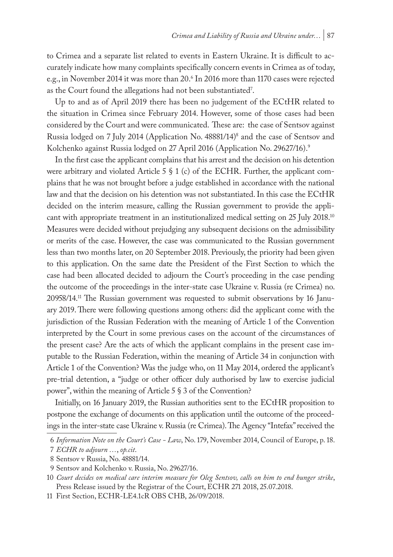to Crimea and a separate list related to events in Eastern Ukraine. It is difficult to accurately indicate how many complaints specifically concern events in Crimea as of today, e.g., in November 2014 it was more than 20.6 In 2016 more than 1170 cases were rejected as the Court found the allegations had not been substantiated $\ell$ .

Up to and as of April 2019 there has been no judgement of the ECtHR related to the situation in Crimea since February 2014. However, some of those cases had been considered by the Court and were communicated. These are: the case of Sentsov against Russia lodged on 7 July 2014 (Application No. 48881/14)8 and the case of Sentsov and Kolchenko against Russia lodged on 27 April 2016 (Application No. 29627/16).<sup>9</sup>

In the first case the applicant complains that his arrest and the decision on his detention were arbitrary and violated Article  $5 \S 1$  (c) of the ECHR. Further, the applicant complains that he was not brought before a judge established in accordance with the national law and that the decision on his detention was not substantiated. In this case the ECtHR decided on the interim measure, calling the Russian government to provide the applicant with appropriate treatment in an institutionalized medical setting on 25 July 2018.10 Measures were decided without prejudging any subsequent decisions on the admissibility or merits of the case. However, the case was communicated to the Russian government less than two months later, on 20 September 2018. Previously, the priority had been given to this application. On the same date the President of the First Section to which the case had been allocated decided to adjourn the Court's proceeding in the case pending the outcome of the proceedings in the inter-state case Ukraine v. Russia (re Crimea) no. 20958/14.11 The Russian government was requested to submit observations by 16 January 2019. There were following questions among others: did the applicant come with the jurisdiction of the Russian Federation with the meaning of Article 1 of the Convention interpreted by the Court in some previous cases on the account of the circumstances of the present case? Are the acts of which the applicant complains in the present case imputable to the Russian Federation, within the meaning of Article 34 in conjunction with Article 1 of the Convention? Was the judge who, on 11 May 2014, ordered the applicant's pre-trial detention, a "judge or other officer duly authorised by law to exercise judicial power", within the meaning of Article 5 § 3 of the Convention?

Initially, on 16 January 2019, the Russian authorities sent to the ECtHR proposition to postpone the exchange of documents on this application until the outcome of the proceedings in the inter-state case Ukraine v. Russia (re Crimea). The Agency "Intefax" received the

<sup>6</sup> *Information Note on the Court's Case - Law*, No. 179, November 2014, Council of Europe, p. 18.

<sup>7</sup> *ECHR to adjourn …*, *op.cit*.

<sup>8</sup> Sentsov v Russia, No. 48881/14.

<sup>9</sup> Sentsov and Kolchenko v. Russia, No. 29627/16.

<sup>10</sup> *Court decides on medical care interim measure for Oleg Sentsov, calls on him to end hunger strike*, Press Release issued by the Registrar of the Court, ECHR 271 2018, 25.07.2018.

<sup>11</sup> First Section, ECHR-LE4.1cR OBS CHB, 26/09/2018.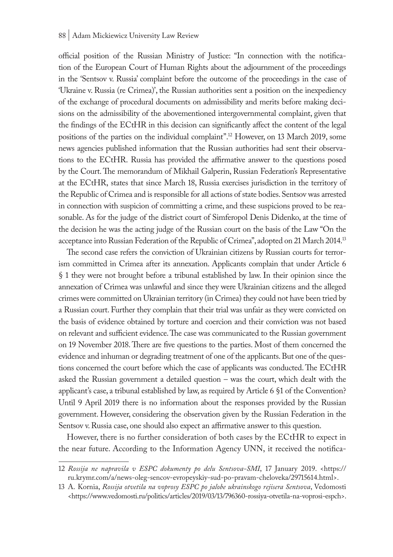official position of the Russian Ministry of Justice: "In connection with the notification of the European Court of Human Rights about the adjournment of the proceedings in the 'Sentsov v. Russia' complaint before the outcome of the proceedings in the case of 'Ukraine v. Russia (re Crimea)', the Russian authorities sent a position on the inexpediency of the exchange of procedural documents on admissibility and merits before making decisions on the admissibility of the abovementioned intergovernmental complaint, given that the findings of the ECtHR in this decision can significantly affect the content of the legal positions of the parties on the individual complaint".12 However, on 13 March 2019, some news agencies published information that the Russian authorities had sent their observations to the ECtHR. Russia has provided the affirmative answer to the questions posed by the Court. The memorandum of Mikhail Galperin, Russian Federation's Representative at the ECtHR, states that since March 18, Russia exercises jurisdiction in the territory of the Republic of Crimea and is responsible for all actions of state bodies. Sentsov was arrested in connection with suspicion of committing a crime, and these suspicions proved to be reasonable. As for the judge of the district court of Simferopol Denis Didenko, at the time of the decision he was the acting judge of the Russian court on the basis of the Law "On the acceptance into Russian Federation of the Republic of Crimea", adopted on 21 March 2014.13

The second case refers the conviction of Ukrainian citizens by Russian courts for terrorism committed in Crimea after its annexation. Applicants complain that under Article 6 § 1 they were not brought before a tribunal established by law. In their opinion since the annexation of Crimea was unlawful and since they were Ukrainian citizens and the alleged crimes were committed on Ukrainian territory (in Crimea) they could not have been tried by a Russian court. Further they complain that their trial was unfair as they were convicted on the basis of evidence obtained by torture and coercion and their conviction was not based on relevant and sufficient evidence. The case was communicated to the Russian government on 19 November 2018. There are five questions to the parties. Most of them concerned the evidence and inhuman or degrading treatment of one of the applicants. But one of the questions concerned the court before which the case of applicants was conducted. The ECtHR asked the Russian government a detailed question – was the court, which dealt with the applicant's case, a tribunal established by law, as required by Article 6 §1 of the Convention? Until 9 April 2019 there is no information about the responses provided by the Russian government. However, considering the observation given by the Russian Federation in the Sentsov v. Russia case, one should also expect an affirmative answer to this question.

However, there is no further consideration of both cases by the ECtHR to expect in the near future. According to the Information Agency UNN, it received the notifica-

<sup>12</sup> *Rossija ne napravila v ESPC dokumenty po delu Sentsova-SMI*, 17 January 2019. <https:// ru.krymr.com/a/news-oleg-sencov-evropeyskiy-sud-po-pravam-cheloveka/29715614.html>.

<sup>13</sup> A. Kornia, *Rossija otvetila na voprosy ESPC po jalobe ukrainskogo rejisera Sentsova*, Vedomosti <https://www.vedomosti.ru/politics/articles/2019/03/13/796360-rossiya-otvetila-na-voprosi-espch>.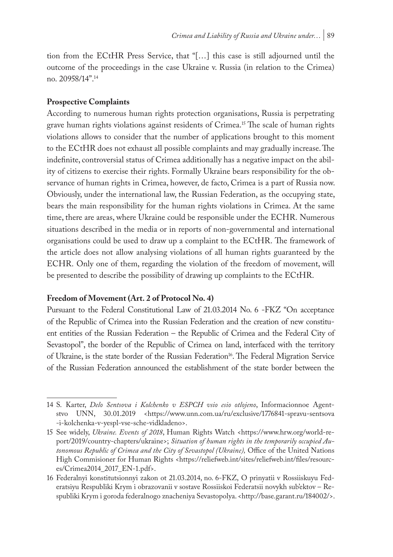tion from the ECtHR Press Service, that "[…] this case is still adjourned until the outcome of the proceedings in the case Ukraine v. Russia (in relation to the Crimea) no. 20958/14".14

#### **Prospective Complaints**

According to numerous human rights protection organisations, Russia is perpetrating grave human rights violations against residents of Crimea.15 The scale of human rights violations allows to consider that the number of applications brought to this moment to the ECtHR does not exhaust all possible complaints and may gradually increase. The indefinite, controversial status of Crimea additionally has a negative impact on the ability of citizens to exercise their rights. Formally Ukraine bears responsibility for the observance of human rights in Crimea, however, de facto, Crimea is a part of Russia now. Obviously, under the international law, the Russian Federation, as the occupying state, bears the main responsibility for the human rights violations in Crimea. At the same time, there are areas, where Ukraine could be responsible under the ECHR. Numerous situations described in the media or in reports of non-governmental and international organisations could be used to draw up a complaint to the ECtHR. The framework of the article does not allow analysing violations of all human rights guaranteed by the ECHR. Only one of them, regarding the violation of the freedom of movement, will be presented to describe the possibility of drawing up complaints to the ECtHR.

#### **Freedom of Movement (Art. 2 of Protocol No. 4)**

Pursuant to the Federal Constitutional Law of 21.03.2014 No. 6 -FKZ "On acceptance of the Republic of Crimea into the Russian Federation and the creation of new constituent entities of the Russian Federation – the Republic of Crimea and the Federal City of Sevastopol", the border of the Republic of Crimea on land, interfaced with the territory of Ukraine, is the state border of the Russian Federation<sup>16</sup>. The Federal Migration Service of the Russian Federation announced the establishment of the state border between the

<sup>14</sup> S. Karter, *Delo Sentsova i Kolchenko v ESPCH vsio esio otlojeno*, Informacionnoe Agentstvo UNN, 30.01.2019 <https://www.unn.com.ua/ru/exclusive/1776841-spravu-sentsova -i-kolchenka-v-yespl-vse-sche-vidkladeno>.

<sup>15</sup> See widely, *Ukraine. Events of 2018*, Human Rights Watch <https://www.hrw.org/world-report/2019/country-chapters/ukraine>; *Situation of human rights in the temporarily occupied Autonomous Republic of Crimea and the City of Sevastopol (Ukraine),* Office of the United Nations High Commisioner for Human Rights <https://reliefweb.int/sites/reliefweb.int/files/resources/Crimea2014\_2017\_EN-1.pdf>.

<sup>16</sup> Federalnyi konstitutsionnyi zakon ot 21.03.2014, no. 6-FKZ, O prinyatii v Rossiiskuyu Federatsiyu Respubliki Krym i obrazovanii v sostave Rossiiskoi Federatsii novykh sub'ektov – Respubliki Krym i goroda federalnogo znacheniya Sevastopolya. <http://base.garant.ru/184002/>.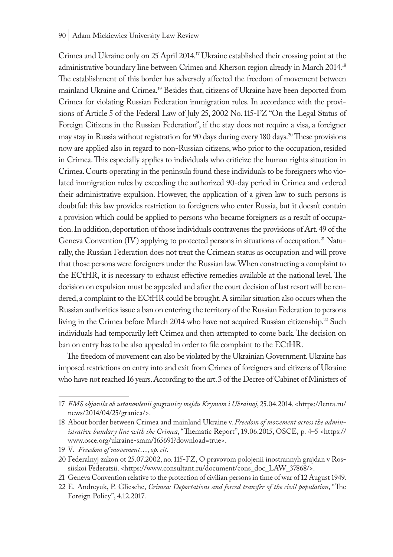#### 90 | Adam Mickiewicz University Law Review

Crimea and Ukraine only on 25 April 2014.17 Ukraine established their crossing point at the administrative boundary line between Crimea and Kherson region already in March 2014.18 The establishment of this border has adversely affected the freedom of movement between mainland Ukraine and Crimea.19 Besides that, citizens of Ukraine have been deported from Crimea for violating Russian Federation immigration rules. In accordance with the provisions of Article 5 of the Federal Law of July 25, 2002 No. 115-FZ "On the Legal Status of Foreign Citizens in the Russian Federation", if the stay does not require a visa, a foreigner may stay in Russia without registration for 90 days during every 180 days.20 These provisions now are applied also in regard to non-Russian citizens, who prior to the occupation, resided in Crimea. This especially applies to individuals who criticize the human rights situation in Crimea. Courts operating in the peninsula found these individuals to be foreigners who violated immigration rules by exceeding the authorized 90-day period in Crimea and ordered their administrative expulsion. However, the application of a given law to such persons is doubtful: this law provides restriction to foreigners who enter Russia, but it doesn't contain a provision which could be applied to persons who became foreigners as a result of occupation. In addition, deportation of those individuals contravenes the provisions of Art. 49 of the Geneva Convention (IV) applying to protected persons in situations of occupation.<sup>21</sup> Naturally, the Russian Federation does not treat the Crimean status as occupation and will prove that those persons were foreigners under the Russian law. When constructing a complaint to the ECtHR, it is necessary to exhaust effective remedies available at the national level. The decision on expulsion must be appealed and after the court decision of last resort will be rendered, a complaint to the ECtHR could be brought. A similar situation also occurs when the Russian authorities issue a ban on entering the territory of the Russian Federation to persons living in the Crimea before March 2014 who have not acquired Russian citizenship.<sup>22</sup> Such individuals had temporarily left Crimea and then attempted to come back. The decision on ban on entry has to be also appealed in order to file complaint to the ECtHR.

The freedom of movement can also be violated by the Ukrainian Government. Ukraine has imposed restrictions on entry into and exit from Crimea of foreigners and citizens of Ukraine who have not reached 16 years. According to the art. 3 of the Decree of Cabinet of Ministers of

<sup>17</sup> *FMS objavila ob ustanovlenii gosgranicy mejdu Krymom i Ukrainoj*, 25.04.2014. <https://lenta.ru/ news/2014/04/25/granica/>.

<sup>18</sup> About border between Crimea and mainland Ukraine v. *Freedom of movement across the administrative bundary line with the Crimea*, "Thematic Report", 19.06.2015, OSCE, p. 4–5 <https:// www.osce.org/ukraine-smm/165691?download=true>.

<sup>19</sup> V. *Freedom of movement*…, *op. cit*.

<sup>20</sup> Federalnyj zakon ot 25.07.2002, no. 115-FZ, O pravovom polojenii inostrannyh grajdan v Rossiiskoi Federatsii. <https://www.consultant.ru/document/cons\_doc\_LAW\_37868/>.

<sup>21</sup> Geneva Convention relative to the protection of civilian persons in time of war of 12 August 1949.

<sup>22</sup> E. Andreyuk, P. Gliesche, *Crimea: Deportations and forced transfer of the civil population*, "The Foreign Policy", 4.12.2017.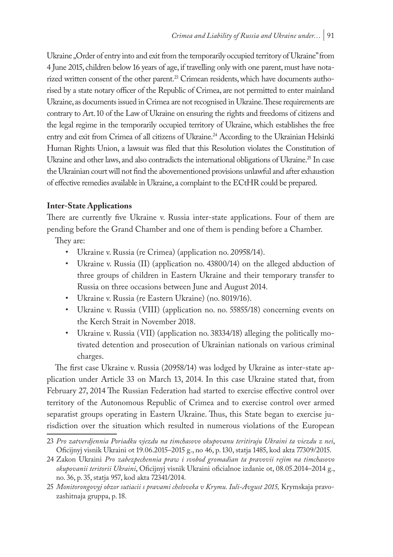Ukraine "Order of entry into and exit from the temporarily occupied territory of Ukraine" from 4 June 2015, children below 16 years of age, if travelling only with one parent, must have notarized written consent of the other parent.<sup>23</sup> Crimean residents, which have documents authorised by a state notary officer of the Republic of Crimea, are not permitted to enter mainland Ukraine, as documents issued in Crimea are not recognised in Ukraine. These requirements are contrary to Art. 10 of the Law of Ukraine on ensuring the rights and freedoms of citizens and the legal regime in the temporarily occupied territory of Ukraine, which establishes the free entry and exit from Crimea of all citizens of Ukraine.<sup>24</sup> According to the Ukrainian Helsinki Human Rights Union, a lawsuit was filed that this Resolution violates the Constitution of Ukraine and other laws, and also contradicts the international obligations of Ukraine.<sup>25</sup> In case the Ukrainian court will not find the abovementioned provisions unlawful and after exhaustion of effective remedies available in Ukraine, a complaint to the ECtHR could be prepared.

### **Inter-State Applications**

There are currently five Ukraine v. Russia inter-state applications. Four of them are pending before the Grand Chamber and one of them is pending before a Chamber.

They are:

- Ukraine v. Russia (re Crimea) (application no. 20958/14).
- Ukraine v. Russia (II) (application no. 43800/14) on the alleged abduction of three groups of children in Eastern Ukraine and their temporary transfer to Russia on three occasions between June and August 2014.
- Ukraine v. Russia (re Eastern Ukraine) (no. 8019/16).
- Ukraine v. Russia (VIII) (application no. no. 55855/18) concerning events on the Kerch Strait in November 2018.
- Ukraine v. Russia (VII) (application no. 38334/18) alleging the politically motivated detention and prosecution of Ukrainian nationals on various criminal charges.

The first case Ukraine v. Russia (20958/14) was lodged by Ukraine as inter-state application under Article 33 on March 13, 2014. In this case Ukraine stated that, from February 27, 2014 The Russian Federation had started to exercise effective control over territory of the Autonomous Republic of Crimea and to exercise control over armed separatist groups operating in Eastern Ukraine. Thus, this State began to exercise jurisdiction over the situation which resulted in numerous violations of the European

<sup>23</sup> *Pro zatverdjennia Poriadku vjezdu na timchasovo okupovanu teritiruju Ukraini ta viezdu z nei*, Oficijnyj visnik Ukraini ot 19.06.2015–2015 g., no 46, p. 130, statja 1485, kod akta 77309/2015.

<sup>24</sup> Zakon Ukraini *Pro zabezpechennia praw i svobod gromadian ta pravovii rejim na timchasovo okupovanii teritorii Ukraini*, Oficijnyj visnik Ukraini oficialnoe izdanie ot, 08.05.2014–2014 g., no. 36, p. 35, statja 957, kod akta 72341/2014.

<sup>25</sup> *Monitorongovyj obzor sutiacii s pravami cheloveka v Krymu. Iuli-Avgust 2015,* Krymskaja pravozashitnaja gruppa, p. 18.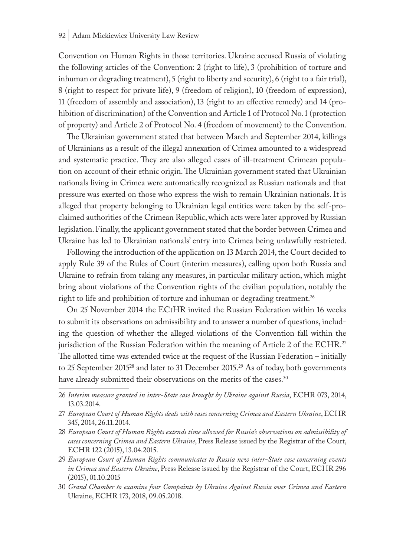Convention on Human Rights in those territories. Ukraine accused Russia of violating the following articles of the Convention: 2 (right to life), 3 (prohibition of torture and inhuman or degrading treatment), 5 (right to liberty and security), 6 (right to a fair trial), 8 (right to respect for private life), 9 (freedom of religion), 10 (freedom of expression), 11 (freedom of assembly and association), 13 (right to an effective remedy) and 14 (prohibition of discrimination) of the Convention and Article 1 of Protocol No. 1 (protection of property) and Article 2 of Protocol No. 4 (freedom of movement) to the Convention.

The Ukrainian government stated that between March and September 2014, killings of Ukrainians as a result of the illegal annexation of Crimea amounted to a widespread and systematic practice. They are also alleged cases of ill-treatment Crimean population on account of their ethnic origin. The Ukrainian government stated that Ukrainian nationals living in Crimea were automatically recognized as Russian nationals and that pressure was exerted on those who express the wish to remain Ukrainian nationals. It is alleged that property belonging to Ukrainian legal entities were taken by the self-proclaimed authorities of the Crimean Republic, which acts were later approved by Russian legislation. Finally, the applicant government stated that the border between Crimea and Ukraine has led to Ukrainian nationals' entry into Crimea being unlawfully restricted.

Following the introduction of the application on 13 March 2014, the Court decided to apply Rule 39 of the Rules of Court (interim measures), calling upon both Russia and Ukraine to refrain from taking any measures, in particular military action, which might bring about violations of the Convention rights of the civilian population, notably the right to life and prohibition of torture and inhuman or degrading treatment.<sup>26</sup>

On 25 November 2014 the ECtHR invited the Russian Federation within 16 weeks to submit its observations on admissibility and to answer a number of questions, including the question of whether the alleged violations of the Convention fall within the jurisdiction of the Russian Federation within the meaning of Article 2 of the ECHR.<sup>27</sup> The allotted time was extended twice at the request of the Russian Federation – initially to 25 September 2015<sup>28</sup> and later to 31 December 2015.<sup>29</sup> As of today, both governments have already submitted their observations on the merits of the cases.<sup>30</sup>

<sup>26</sup> *Interim measure granted in inter-State case brought by Ukraine against Russia*, ECHR 073, 2014, 13.03.2014.

<sup>27</sup> *European Court of Human Rights deals with cases concerning Crimea and Eastern Ukraine*, ECHR 345, 2014, 26.11.2014.

<sup>28</sup> *European Court of Human Rights extends time allowed for Russia's observations on admissibility of cases concerning Crimea and Eastern Ukraine*, Press Release issued by the Registrar of the Court, ECHR 122 (2015), 13.04.2015.

<sup>29</sup> *European Court of Human Rights communicates to Russia new inter-State case concerning events in Crimea and Eastern Ukraine*, Press Release issued by the Registrar of the Court, ECHR 296 (2015), 01.10.2015

<sup>30</sup> *Grand Chamber to examine four Compaints by Ukraine Against Russia over Crimea and Eastern*  Ukraine, ECHR 173, 2018, 09.05.2018.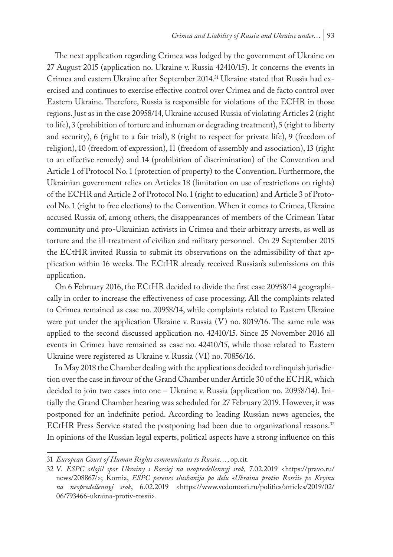The next application regarding Crimea was lodged by the government of Ukraine on 27 August 2015 (application no. Ukraine v. Russia 42410/15). It concerns the events in Crimea and eastern Ukraine after September 2014.31 Ukraine stated that Russia had exercised and continues to exercise effective control over Crimea and de facto control over Eastern Ukraine. Therefore, Russia is responsible for violations of the ECHR in those regions. Just as in the case 20958/14, Ukraine accused Russia of violating Articles 2 (right to life), 3 (prohibition of torture and inhuman or degrading treatment), 5 (right to liberty and security), 6 (right to a fair trial), 8 (right to respect for private life), 9 (freedom of religion), 10 (freedom of expression), 11 (freedom of assembly and association), 13 (right to an effective remedy) and 14 (prohibition of discrimination) of the Convention and Article 1 of Protocol No. 1 (protection of property) to the Convention. Furthermore, the Ukrainian government relies on Articles 18 (limitation on use of restrictions on rights) of the ECHR and Article 2 of Protocol No. 1 (right to education) and Article 3 of Protocol No. 1 (right to free elections) to the Convention. When it comes to Crimea, Ukraine accused Russia of, among others, the disappearances of members of the Crimean Tatar community and pro-Ukrainian activists in Crimea and their arbitrary arrests, as well as torture and the ill-treatment of civilian and military personnel. On 29 September 2015 the ECtHR invited Russia to submit its observations on the admissibility of that application within 16 weeks. The ECtHR already received Russian's submissions on this application.

On 6 February 2016, the ECtHR decided to divide the first case 20958/14 geographically in order to increase the effectiveness of case processing. All the complaints related to Crimea remained as case no. 20958/14, while complaints related to Eastern Ukraine were put under the application Ukraine v. Russia (V) no. 8019/16. The same rule was applied to the second discussed application no. 42410/15. Since 25 November 2016 all events in Crimea have remained as case no. 42410/15, while those related to Eastern Ukraine were registered as Ukraine v. Russia (VI) no. 70856/16.

In May 2018 the Chamber dealing with the applications decided to relinquish jurisdiction over the case in favour of the Grand Chamber under Article 30 of the ECHR, which decided to join two cases into one – Ukraine v. Russia (application no. 20958/14). Initially the Grand Chamber hearing was scheduled for 27 February 2019. However, it was postponed for an indefinite period. According to leading Russian news agencies, the ECtHR Press Service stated the postponing had been due to organizational reasons.<sup>32</sup> In opinions of the Russian legal experts, political aspects have a strong influence on this

<sup>31</sup> *European Court of Human Rights communicates to Russia…*, op.cit.

<sup>32</sup> V. *ESPC otlojil spor Ukrainy s Rossiej na neopredellennyj srok,* 7.02.2019 <https://pravo.ru/ news/208867/>; Kornia, *ESPC perenes slushanija po delu «Ukraina protiv Rossii» po Krymu na neopredellennyj srok*, 6.02.2019 <https://www.vedomosti.ru/politics/articles/2019/02/ 06/793466-ukraina-protiv-rossii>.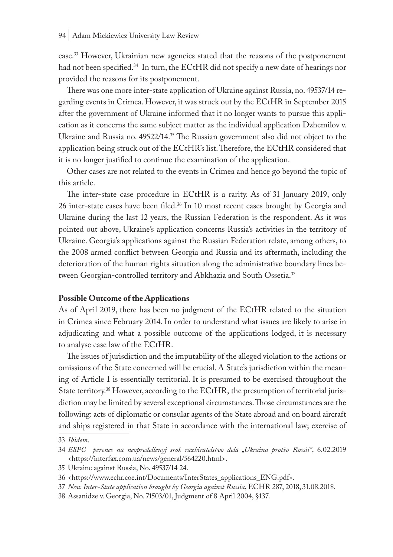case.33 However, Ukrainian new agencies stated that the reasons of the postponement had not been specified.<sup>34</sup> In turn, the ECtHR did not specify a new date of hearings nor provided the reasons for its postponement.

There was one more inter-state application of Ukraine against Russia, no. 49537/14 regarding events in Crimea. However, it was struck out by the ECtHR in September 2015 after the government of Ukraine informed that it no longer wants to pursue this application as it concerns the same subject matter as the individual application Dzhemilov v. Ukraine and Russia no. 49522/14.35 The Russian government also did not object to the application being struck out of the ECtHR's list. Therefore, the ECtHR considered that it is no longer justified to continue the examination of the application.

Other cases are not related to the events in Crimea and hence go beyond the topic of this article.

The inter-state case procedure in ECtHR is a rarity. As of 31 January 2019, only 26 inter-state cases have been filed.36 In 10 most recent cases brought by Georgia and Ukraine during the last 12 years, the Russian Federation is the respondent. As it was pointed out above, Ukraine's application concerns Russia's activities in the territory of Ukraine. Georgia's applications against the Russian Federation relate, among others, to the 2008 armed conflict between Georgia and Russia and its aftermath, including the deterioration of the human rights situation along the administrative boundary lines between Georgian-controlled territory and Abkhazia and South Ossetia.<sup>37</sup>

#### **Possible Outcome of the Applications**

As of April 2019, there has been no judgment of the ECtHR related to the situation in Crimea since February 2014. In order to understand what issues are likely to arise in adjudicating and what a possible outcome of the applications lodged, it is necessary to analyse case law of the ECtHR.

The issues of jurisdiction and the imputability of the alleged violation to the actions or omissions of the State concerned will be crucial. A State's jurisdiction within the meaning of Article 1 is essentially territorial. It is presumed to be exercised throughout the State territory.<sup>38</sup> However, according to the ECtHR, the presumption of territorial jurisdiction may be limited by several exceptional circumstances. Those circumstances are the following: acts of diplomatic or consular agents of the State abroad and on board aircraft and ships registered in that State in accordance with the international law; exercise of

<sup>33</sup> *Ibidem*.

<sup>34</sup> *ESPC perenes na neopredellenyj srok razbiratelstvo dela "Ukraina protiv Rossii"*, 6.02.2019 <https://interfax.com.ua/news/general/564220.html>.

<sup>35</sup> Ukraine against Russia, No. 49537/14 24.

<sup>36</sup> <https://www.echr.coe.int/Documents/InterStates\_applications\_ENG.pdf>.

<sup>37</sup> *New Inter-State application brought by Georgia against Russia*, ECHR 287, 2018, 31.08.2018.

<sup>38</sup> Assanidze v. Georgia, No. 71503/01, Judgment of 8 April 2004, §137.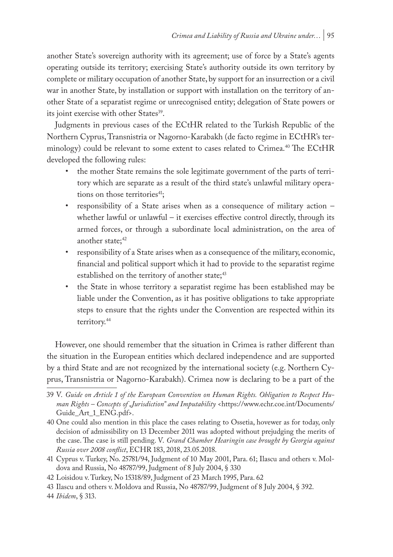another State's sovereign authority with its agreement; use of force by a State's agents operating outside its territory; exercising State's authority outside its own territory by complete or military occupation of another State, by support for an insurrection or a civil war in another State, by installation or support with installation on the territory of another State of a separatist regime or unrecognised entity; delegation of State powers or its joint exercise with other States<sup>39</sup>.

Judgments in previous cases of the ECtHR related to the Turkish Republic of the Northern Cyprus, Transnistria or Nagorno-Karabakh (de facto regime in ECtHR's terminology) could be relevant to some extent to cases related to Crimea.40 The ECtHR developed the following rules:

- the mother State remains the sole legitimate government of the parts of territory which are separate as a result of the third state's unlawful military operations on those territories<sup>41</sup>;
- responsibility of a State arises when as a consequence of military action whether lawful or unlawful – it exercises effective control directly, through its armed forces, or through a subordinate local administration, on the area of another state;<sup>42</sup>
- responsibility of a State arises when as a consequence of the military, economic, financial and political support which it had to provide to the separatist regime established on the territory of another state;<sup>43</sup>
- the State in whose territory a separatist regime has been established may be liable under the Convention, as it has positive obligations to take appropriate steps to ensure that the rights under the Convention are respected within its territory.<sup>44</sup>

However, one should remember that the situation in Crimea is rather different than the situation in the European entities which declared independence and are supported by a third State and are not recognized by the international society (e.g. Northern Cyprus, Transnistria or Nagorno-Karabakh). Crimea now is declaring to be a part of the

<sup>39</sup> V. *Guide on Article 1 of the European Convention on Human Rights. Obligation to Respect Human Rights – Concepts of "Jurisdiction" and Imputability* <https://www.echr.coe.int/Documents/ Guide\_Art\_1\_ENG.pdf>.

<sup>40</sup> One could also mention in this place the cases relating to Ossetia, hovewer as for today, only decision of admissibility on 13 December 2011 was adopted without prejudging the merits of the case. The case is still pending. V. *Grand Chamber Hearingin case brought by Georgia against Russia over 2008 conflict*, ECHR 183, 2018, 23.05.2018.

<sup>41</sup> Cyprus v. Turkey, No. 25781/94, Judgment of 10 May 2001, Para. 61; Ilascu and others v. Moldova and Russia, No 48787/99, Judgment of 8 July 2004, § 330

<sup>42</sup> Loisidou v. Turkey, No 15318/89, Judgment of 23 March 1995, Para. 62

<sup>43</sup> Ilascu and others v. Moldova and Russia, No 48787/99, Judgment of 8 July 2004, § 392.

<sup>44</sup> *Ibidem*, § 313.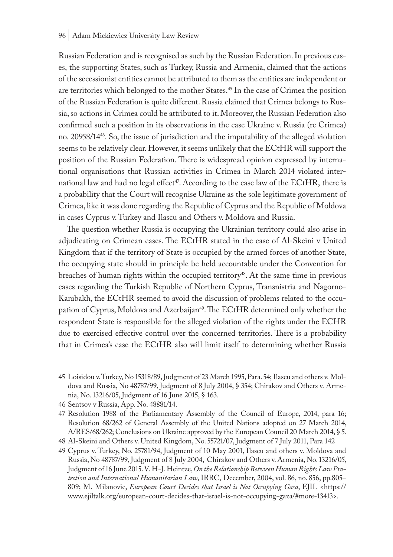#### 96 | Adam Mickiewicz University Law Review

Russian Federation and is recognised as such by the Russian Federation. In previous cases, the supporting States, such as Turkey, Russia and Armenia, claimed that the actions of the secessionist entities cannot be attributed to them as the entities are independent or are territories which belonged to the mother States.<sup>45</sup> In the case of Crimea the position of the Russian Federation is quite different. Russia claimed that Crimea belongs to Russia, so actions in Crimea could be attributed to it. Moreover, the Russian Federation also confirmed such a position in its observations in the case Ukraine v. Russia (re Crimea) no. 20958/1446. So, the issue of jurisdiction and the imputability of the alleged violation seems to be relatively clear. However, it seems unlikely that the ECtHR will support the position of the Russian Federation. There is widespread opinion expressed by international organisations that Russian activities in Crimea in March 2014 violated international law and had no legal effect<sup>47</sup>. According to the case law of the ECtHR, there is a probability that the Court will recognise Ukraine as the sole legitimate government of Crimea, like it was done regarding the Republic of Cyprus and the Republic of Moldova in cases Cyprus v. Turkey and Ilascu and Others v. Moldova and Russia.

The question whether Russia is occupying the Ukrainian territory could also arise in adjudicating on Crimean cases. The ECtHR stated in the case of Al-Skeini v United Kingdom that if the territory of State is occupied by the armed forces of another State, the occupying state should in principle be held accountable under the Convention for breaches of human rights within the occupied territory<sup>48</sup>. At the same time in previous cases regarding the Turkish Republic of Northern Cyprus, Transnistria and Nagorno-Karabakh, the ECtHR seemed to avoid the discussion of problems related to the occupation of Cyprus, Moldova and Azerbaijan<sup>49</sup>. The ECtHR determined only whether the respondent State is responsible for the alleged violation of the rights under the ECHR due to exercised effective control over the concerned territories. There is a probability that in Crimea's case the ECtHR also will limit itself to determining whether Russia

<sup>45</sup> Loisidou v. Turkey, No 15318/89, Judgment of 23 March 1995, Para. 54; Ilascu and others v. Moldova and Russia, No 48787/99, Judgment of 8 July 2004, § 354; Chirakov and Others v. Armenia, No. 13216/05, Judgment of 16 June 2015, § 163.

<sup>46</sup> Sentsov v Russia, App. No. 48881/14.

<sup>47</sup> Resolution 1988 of the Parliamentary Assembly of the Council of Europe, 2014, para 16; Resolution 68/262 of General Assembly of the United Nations adopted on 27 March 2014, A/RES/68/262; Conclusions on Ukraine approved by the European Council 20 March 2014, § 5.

<sup>48</sup> Al-Skeini and Others v. United Kingdom, No. 55721/07, Judgment of 7 July 2011, Para 142

<sup>49</sup> Cyprus v. Turkey, No. 25781/94, Judgment of 10 May 2001, Ilascu and others v. Moldova and Russia, No 48787/99, Judgment of 8 July 2004, Chirakov and Others v. Armenia, No. 13216/05, Judgment of 16 June 2015. V. H-J. Heintze, *On the Relationship Between Human Rights Law Protection and International Humanitarian Law*, IRRC, December, 2004, vol. 86, no. 856, pp.805– 809; M. Milanovic, *European Court Decides that Israel is Not Occupying Gasa*, EJIL <https:// www.ejiltalk.org/european-court-decides-that-israel-is-not-occupying-gaza/#more-13413>.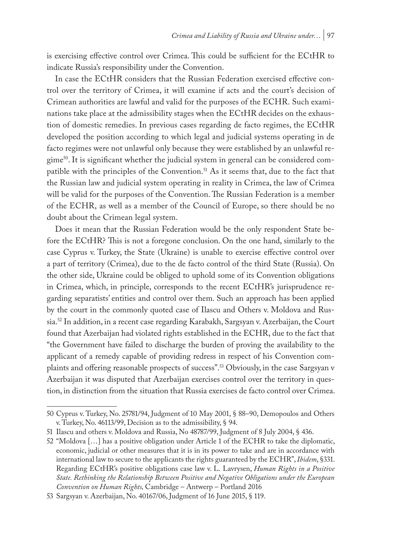is exercising effective control over Crimea. This could be sufficient for the ECtHR to indicate Russia's responsibility under the Convention.

In case the ECtHR considers that the Russian Federation exercised effective control over the territory of Crimea, it will examine if acts and the court's decision of Crimean authorities are lawful and valid for the purposes of the ECHR. Such examinations take place at the admissibility stages when the ECtHR decides on the exhaustion of domestic remedies. In previous cases regarding de facto regimes, the ECtHR developed the position according to which legal and judicial systems operating in de facto regimes were not unlawful only because they were established by an unlawful regime50. It is significant whether the judicial system in general can be considered compatible with the principles of the Convention.51 As it seems that, due to the fact that the Russian law and judicial system operating in reality in Crimea, the law of Crimea will be valid for the purposes of the Convention. The Russian Federation is a member of the ECHR, as well as a member of the Council of Europe, so there should be no doubt about the Crimean legal system.

Does it mean that the Russian Federation would be the only respondent State before the ECtHR? This is not a foregone conclusion. On the one hand, similarly to the case Cyprus v. Turkey, the State (Ukraine) is unable to exercise effective control over a part of territory (Crimea), due to the de facto control of the third State (Russia). On the other side, Ukraine could be obliged to uphold some of its Convention obligations in Crimea, which, in principle, corresponds to the recent ECtHR's jurisprudence regarding separatists' entities and control over them. Such an approach has been applied by the court in the commonly quoted case of Ilascu and Others v. Moldova and Russia.52 In addition, in a recent case regarding Karabakh, Sargsyan v. Azerbaijan, the Court found that Azerbaijan had violated rights established in the ECHR, due to the fact that "the Government have failed to discharge the burden of proving the availability to the applicant of a remedy capable of providing redress in respect of his Convention complaints and offering reasonable prospects of success".<sup>53</sup> Obviously, in the case Sargsyan v Azerbaijan it was disputed that Azerbaijan exercises control over the territory in question, in distinction from the situation that Russia exercises de facto control over Crimea.

<sup>50</sup> Cyprus v. Turkey, No. 25781/94, Judgment of 10 May 2001, § 88–90, Demopoulos and Others v. Turkey, No. 46113/99, Decision as to the admissibility, § 94.

<sup>51</sup> Ilascu and others v. Moldova and Russia, No 48787/99, Judgment of 8 July 2004, § 436.

<sup>52</sup> "Moldova […] has a positive obligation under Article 1 of the ECHR to take the diplomatic, economic, judicial or other measures that it is in its power to take and are in accordance with international law to secure to the applicants the rights guaranteed by the ECHR", *Ibidem*, §331. Regarding ECtHR's positive obligations case law v. L. Lavrysen, *Human Rights in a Positive State. Rethinking the Relationship Between Positive and Negative Obligations under the European Convention on Human Rights,* Cambridge – Antwerp – Portland 2016

<sup>53</sup> Sargsyan v. Azerbaijan, No. 40167/06, Judgment of 16 June 2015, § 119.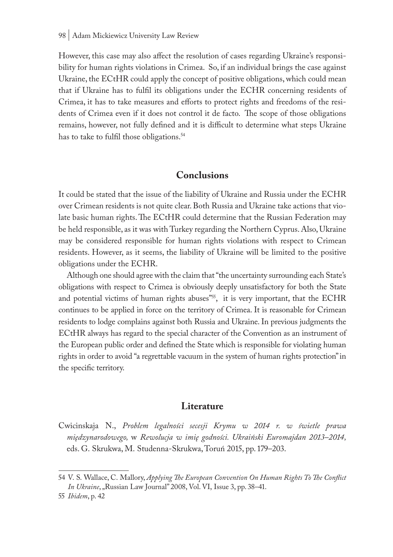However, this case may also affect the resolution of cases regarding Ukraine's responsibility for human rights violations in Crimea. So, if an individual brings the case against Ukraine, the ECtHR could apply the concept of positive obligations, which could mean that if Ukraine has to fulfil its obligations under the ECHR concerning residents of Crimea, it has to take measures and efforts to protect rights and freedoms of the residents of Crimea even if it does not control it de facto. The scope of those obligations remains, however, not fully defined and it is difficult to determine what steps Ukraine has to take to fulfil those obligations.<sup>54</sup>

### **Conclusions**

It could be stated that the issue of the liability of Ukraine and Russia under the ECHR over Crimean residents is not quite clear. Both Russia and Ukraine take actions that violate basic human rights. The ECtHR could determine that the Russian Federation may be held responsible, as it was with Turkey regarding the Northern Cyprus. Also, Ukraine may be considered responsible for human rights violations with respect to Crimean residents. However, as it seems, the liability of Ukraine will be limited to the positive obligations under the ECHR.

Although one should agree with the claim that "the uncertainty surrounding each State's obligations with respect to Crimea is obviously deeply unsatisfactory for both the State and potential victims of human rights abuses<sup>"55</sup>, it is very important, that the ECHR continues to be applied in force on the territory of Crimea. It is reasonable for Crimean residents to lodge complains against both Russia and Ukraine. In previous judgments the ECtHR always has regard to the special character of the Convention as an instrument of the European public order and defined the State which is responsible for violating human rights in order to avoid "a regrettable vacuum in the system of human rights protection" in the specific territory.

### **Literature**

Cwicinskaja N., *Problem legalności secesji Krymu w 2014 r. w świetle prawa międzynarodowego,* w *Rewolucja w imię godności. Ukraiński Euromajdan 2013–2014,*  eds. G. Skrukwa, M. Studenna-Skrukwa, Toruń 2015, pp. 179–203.

<sup>54</sup> V. S. Wallace, C. Mallory, *Applying The European Convention On Human Rights To The Conflict In Ukraine*, "Russian Law Journal" 2008, Vol. VI, Issue 3, pp. 38–41.

<sup>55</sup> *Ibidem*, p. 42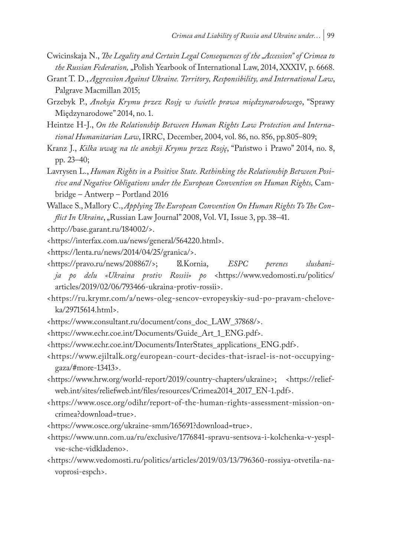- Cwicinskaja N., *The Legality and Certain Legal Consequences of the "Accession" of Crimea to the Russian Federation,* "Polish Yearbook of International Law, 2014, XXXIV, p. 6668.
- Grant T. D., *Aggression Against Ukraine. Territory, Responsibility, and International Law*, Palgrave Macmillan 2015;
- Grzebyk P., *Aneksja Krymu przez Rosję w świetle prawa międzynarodowego*, "Sprawy Międzynarodowe" 2014, no. 1.
- Heintze H-J., *On the Relationship Between Human Rights Law Protection and International Humanitarian Law*, IRRC, December, 2004, vol. 86, no. 856, pp.805–809;
- Kranz J., *Kilka uwag na tle aneksji Krymu przez Rosję*, "Państwo i Prawo" 2014, no. 8, pp. 23–40;
- Lavrysen L., *Human Rights in a Positive State. Rethinking the Relationship Between Positive and Negative Obligations under the European Convention on Human Rights,* Cambridge – Antwerp – Portland 2016
- Wallace S., Mallory C., *Applying The European Convention On Human Rights To The Conflict In Ukraine*, "Russian Law Journal" 2008, Vol. VI, Issue 3, pp. 38–41.
- <http://base.garant.ru/184002/>.
- <https://interfax.com.ua/news/general/564220.html>.
- <https://lenta.ru/news/2014/04/25/granica/>.
- <https://pravo.ru/news/208867/>; А.Kornia, *ESPC perenes slushanija po delu «Ukraina protiv Rossii» po* <https://www.vedomosti.ru/politics/ articles/2019/02/06/793466-ukraina-protiv-rossii>.
- <https://ru.krymr.com/a/news-oleg-sencov-evropeyskiy-sud-po-pravam-cheloveka/29715614.html>.
- <https://www.consultant.ru/document/cons\_doc\_LAW\_37868/>.
- <https://www.echr.coe.int/Documents/Guide\_Art\_1\_ENG.pdf>.
- <https://www.echr.coe.int/Documents/InterStates\_applications\_ENG.pdf>.
- <https://www.ejiltalk.org/european-court-decides-that-israel-is-not-occupyinggaza/#more-13413>.
- <https://www.hrw.org/world-report/2019/country-chapters/ukraine>; <https://reliefweb.int/sites/reliefweb.int/files/resources/Crimea2014\_2017\_EN-1.pdf>.
- <https://www.osce.org/odihr/report-of-the-human-rights-assessment-mission-oncrimea?download=true>.
- <https://www.osce.org/ukraine-smm/165691?download=true>.
- <https://www.unn.com.ua/ru/exclusive/1776841-spravu-sentsova-i-kolchenka-v-yesplvse-sche-vidkladeno>.
- <https://www.vedomosti.ru/politics/articles/2019/03/13/796360-rossiya-otvetila-navoprosi-espch>.